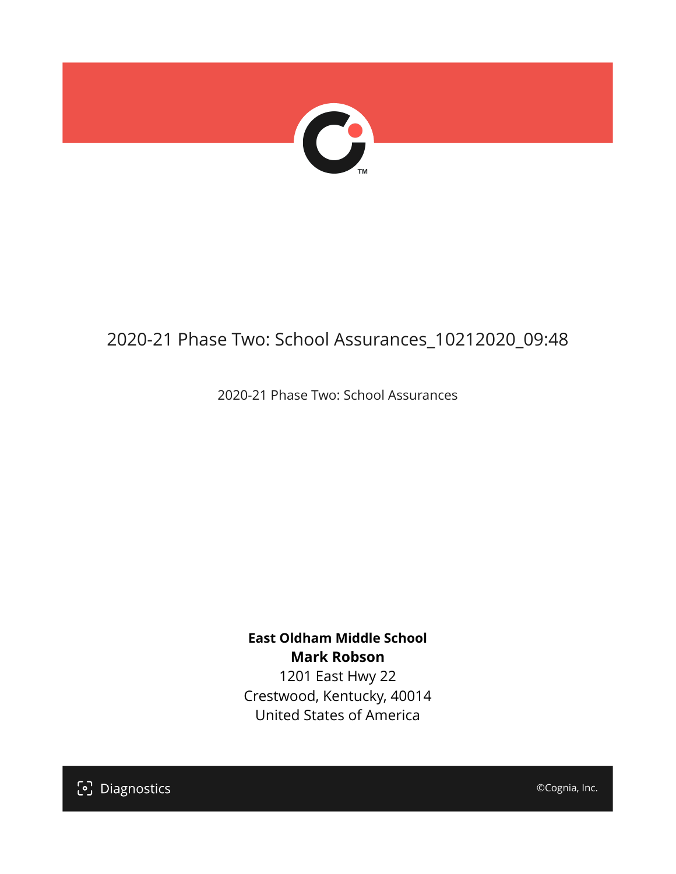

# 2020-21 Phase Two: School Assurances\_10212020\_09:48

2020-21 Phase Two: School Assurances

**East Oldham Middle School Mark Robson** 1201 East Hwy 22

Crestwood, Kentucky, 40014 United States of America

[၁] Diagnostics

©Cognia, Inc.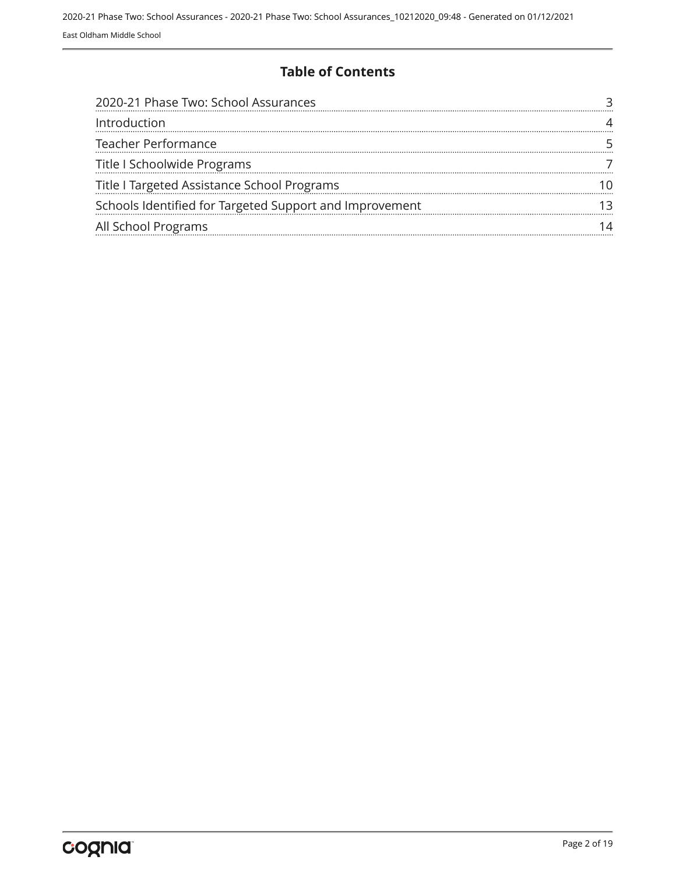#### **Table of Contents**

| 2020-21 Phase Two: School Assurances                    |  |
|---------------------------------------------------------|--|
| Introduction                                            |  |
| Teacher Performance                                     |  |
| Title I Schoolwide Programs                             |  |
| Title I Targeted Assistance School Programs             |  |
| Schools Identified for Targeted Support and Improvement |  |
| All School Programs                                     |  |
|                                                         |  |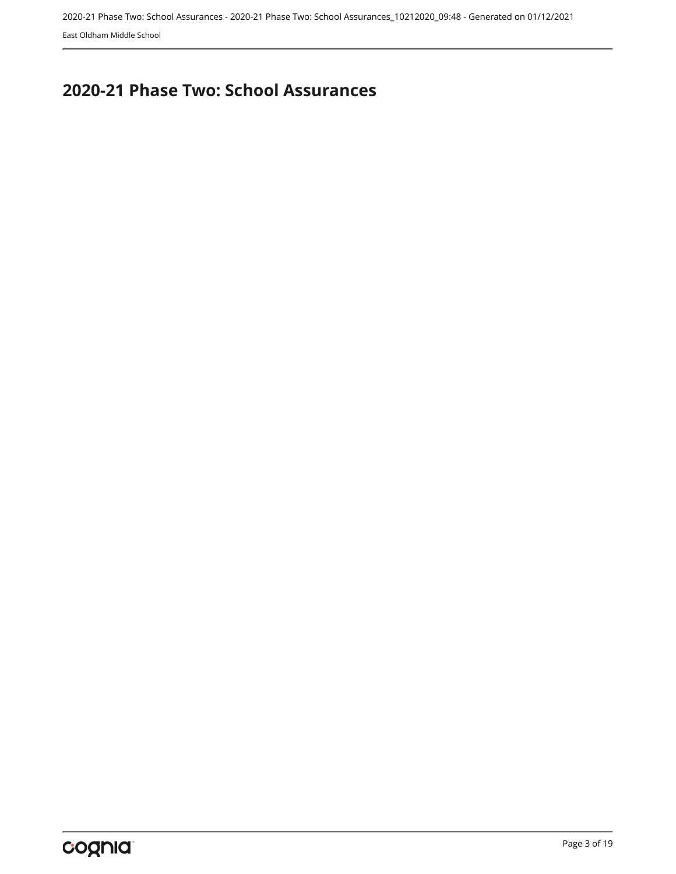## <span id="page-2-0"></span>**2020-21 Phase Two: School Assurances**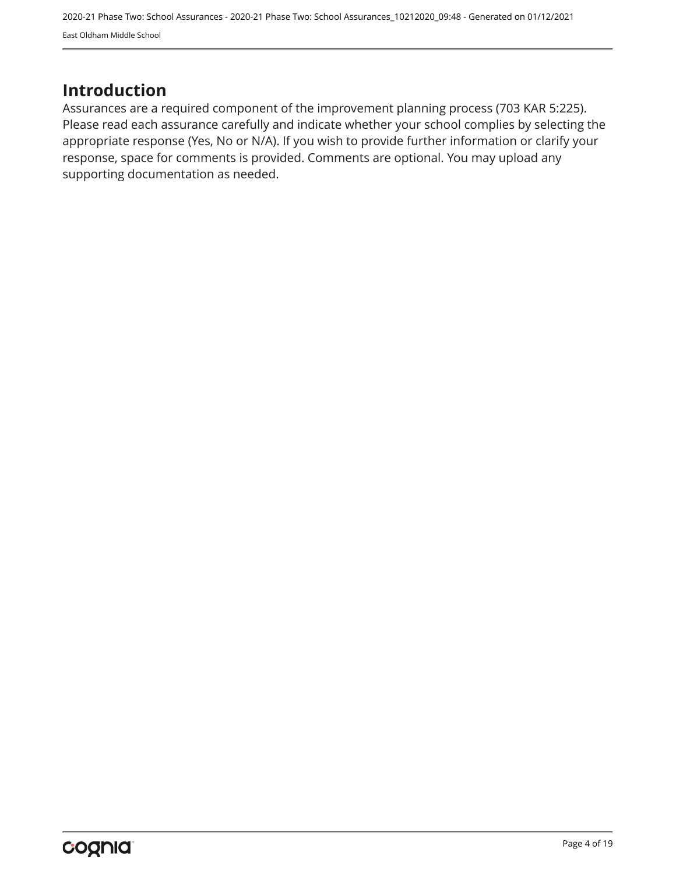### <span id="page-3-0"></span>**Introduction**

Assurances are a required component of the improvement planning process (703 KAR 5:225). Please read each assurance carefully and indicate whether your school complies by selecting the appropriate response (Yes, No or N/A). If you wish to provide further information or clarify your response, space for comments is provided. Comments are optional. You may upload any supporting documentation as needed.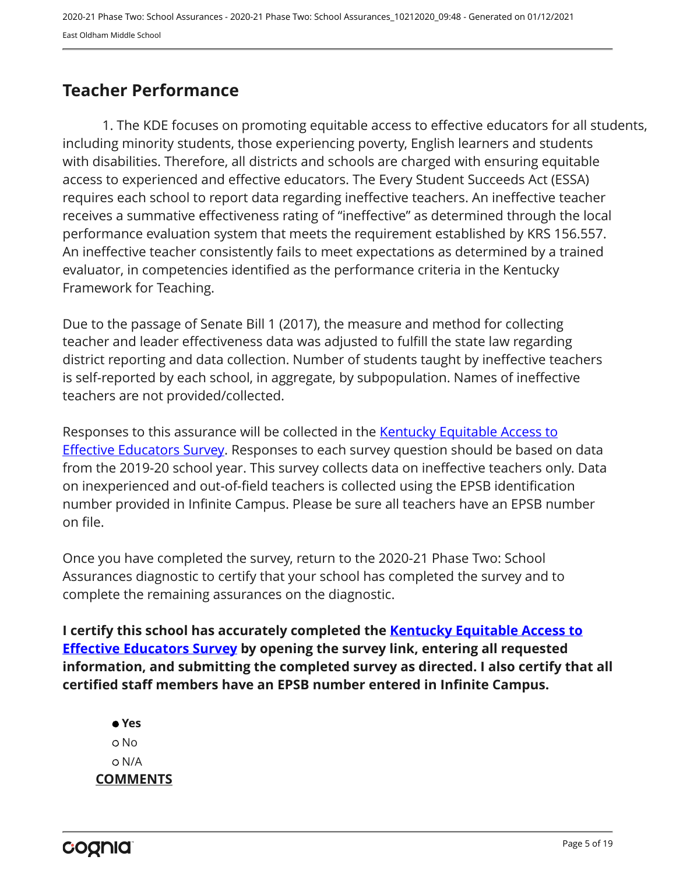## <span id="page-4-0"></span>**Teacher Performance**

1. The KDE focuses on promoting equitable access to effective educators for all students, including minority students, those experiencing poverty, English learners and students with disabilities. Therefore, all districts and schools are charged with ensuring equitable access to experienced and effective educators. The Every Student Succeeds Act (ESSA) requires each school to report data regarding ineffective teachers. An ineffective teacher receives a summative effectiveness rating of "ineffective" as determined through the local performance evaluation system that meets the requirement established by KRS 156.557. An ineffective teacher consistently fails to meet expectations as determined by a trained evaluator, in competencies identified as the performance criteria in the Kentucky Framework for Teaching.

Due to the passage of Senate Bill 1 (2017), the measure and method for collecting teacher and leader effectiveness data was adjusted to fulfill the state law regarding district reporting and data collection. Number of students taught by ineffective teachers is self-reported by each school, in aggregate, by subpopulation. Names of ineffective teachers are not provided/collected.

Responses to this assurance will be collected in the [Kentucky Equitable Access to](https://www.surveymonkey.com/r/PNPMCCV) **[Effective Educators Survey](https://www.surveymonkey.com/r/PNPMCCV).** Responses to each survey question should be based on data from the 2019-20 school year. This survey collects data on ineffective teachers only. Data on inexperienced and out-of-field teachers is collected using the EPSB identification number provided in Infinite Campus. Please be sure all teachers have an EPSB number on file.

Once you have completed the survey, return to the 2020-21 Phase Two: School Assurances diagnostic to certify that your school has completed the survey and to complete the remaining assurances on the diagnostic.

**I certify this school has accurately completed the [Kentucky Equitable Access to](https://www.surveymonkey.com/r/PNPMCCV) [Effective Educators Survey](https://www.surveymonkey.com/r/PNPMCCV) by opening the survey link, entering all requested information, and submitting the completed survey as directed. I also certify that all certified staff members have an EPSB number entered in Infinite Campus.**

 **Yes** No N/A **COMMENTS**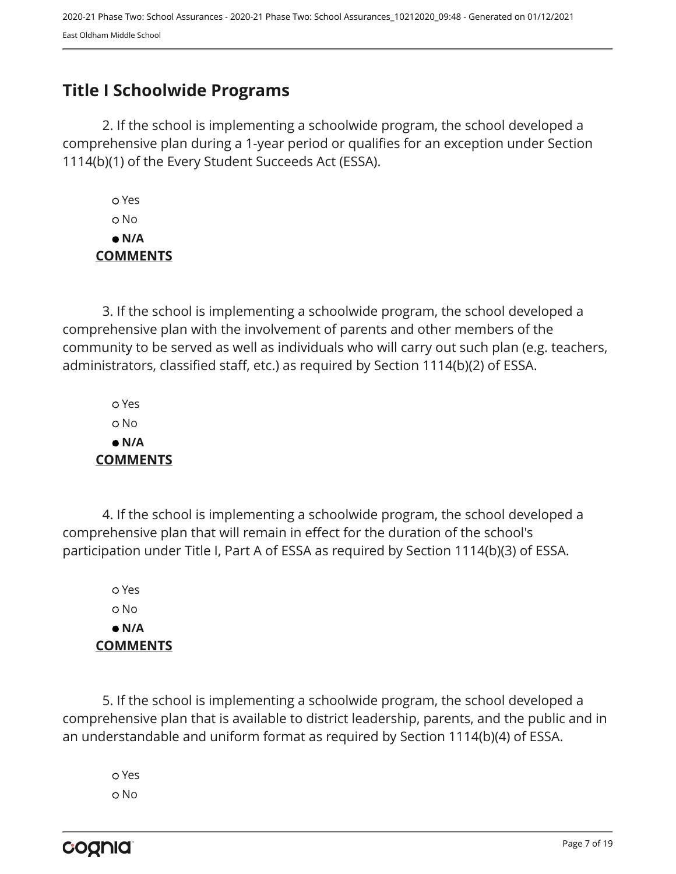# <span id="page-6-0"></span>**Title I Schoolwide Programs**

2. If the school is implementing a schoolwide program, the school developed a comprehensive plan during a 1-year period or qualifies for an exception under Section 1114(b)(1) of the Every Student Succeeds Act (ESSA).

 Yes No  **N/A COMMENTS**

3. If the school is implementing a schoolwide program, the school developed a comprehensive plan with the involvement of parents and other members of the community to be served as well as individuals who will carry out such plan (e.g. teachers, administrators, classified staff, etc.) as required by Section 1114(b)(2) of ESSA.

 Yes No  **N/A COMMENTS**

4. If the school is implementing a schoolwide program, the school developed a comprehensive plan that will remain in effect for the duration of the school's participation under Title I, Part A of ESSA as required by Section 1114(b)(3) of ESSA.

 Yes No  **N/A COMMENTS**

5. If the school is implementing a schoolwide program, the school developed a comprehensive plan that is available to district leadership, parents, and the public and in an understandable and uniform format as required by Section 1114(b)(4) of ESSA.

 Yes o No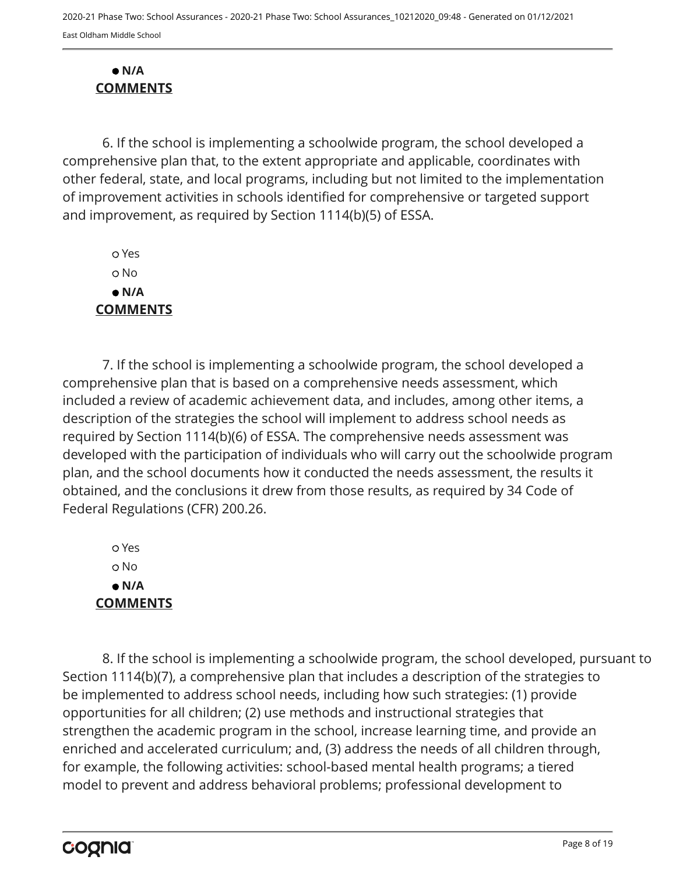#### **N/A COMMENTS**

6. If the school is implementing a schoolwide program, the school developed a comprehensive plan that, to the extent appropriate and applicable, coordinates with other federal, state, and local programs, including but not limited to the implementation of improvement activities in schools identified for comprehensive or targeted support and improvement, as required by Section 1114(b)(5) of ESSA.

 Yes No  **N/A COMMENTS**

7. If the school is implementing a schoolwide program, the school developed a comprehensive plan that is based on a comprehensive needs assessment, which included a review of academic achievement data, and includes, among other items, a description of the strategies the school will implement to address school needs as required by Section 1114(b)(6) of ESSA. The comprehensive needs assessment was developed with the participation of individuals who will carry out the schoolwide program plan, and the school documents how it conducted the needs assessment, the results it obtained, and the conclusions it drew from those results, as required by 34 Code of Federal Regulations (CFR) 200.26.

 Yes o No  **N/A COMMENTS**

8. If the school is implementing a schoolwide program, the school developed, pursuant to Section 1114(b)(7), a comprehensive plan that includes a description of the strategies to be implemented to address school needs, including how such strategies: (1) provide opportunities for all children; (2) use methods and instructional strategies that strengthen the academic program in the school, increase learning time, and provide an enriched and accelerated curriculum; and, (3) address the needs of all children through, for example, the following activities: school-based mental health programs; a tiered model to prevent and address behavioral problems; professional development to

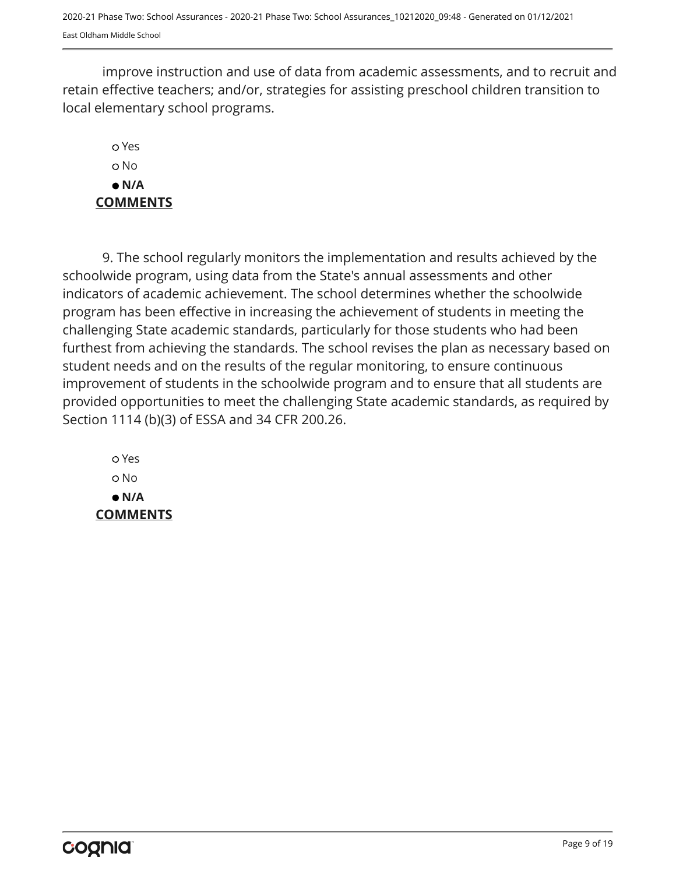improve instruction and use of data from academic assessments, and to recruit and retain effective teachers; and/or, strategies for assisting preschool children transition to local elementary school programs.

#### Yes o No  **N/A COMMENTS**

9. The school regularly monitors the implementation and results achieved by the schoolwide program, using data from the State's annual assessments and other indicators of academic achievement. The school determines whether the schoolwide program has been effective in increasing the achievement of students in meeting the challenging State academic standards, particularly for those students who had been furthest from achieving the standards. The school revises the plan as necessary based on student needs and on the results of the regular monitoring, to ensure continuous improvement of students in the schoolwide program and to ensure that all students are provided opportunities to meet the challenging State academic standards, as required by Section 1114 (b)(3) of ESSA and 34 CFR 200.26.

 Yes o No  **N/A COMMENTS**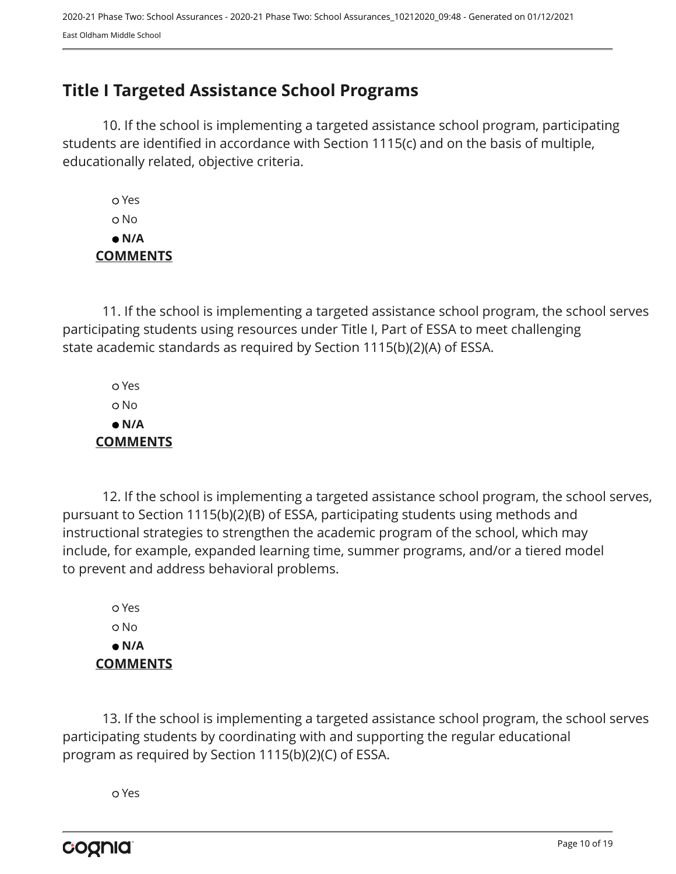## <span id="page-9-0"></span>**Title I Targeted Assistance School Programs**

10. If the school is implementing a targeted assistance school program, participating students are identified in accordance with Section 1115(c) and on the basis of multiple, educationally related, objective criteria.

 Yes No  **N/A COMMENTS**

11. If the school is implementing a targeted assistance school program, the school serves participating students using resources under Title I, Part of ESSA to meet challenging state academic standards as required by Section 1115(b)(2)(A) of ESSA.

 Yes No  **N/A COMMENTS**

12. If the school is implementing a targeted assistance school program, the school serves, pursuant to Section 1115(b)(2)(B) of ESSA, participating students using methods and instructional strategies to strengthen the academic program of the school, which may include, for example, expanded learning time, summer programs, and/or a tiered model to prevent and address behavioral problems.

 Yes o No  **N/A COMMENTS**

13. If the school is implementing a targeted assistance school program, the school serves participating students by coordinating with and supporting the regular educational program as required by Section 1115(b)(2)(C) of ESSA.

Yes

cognia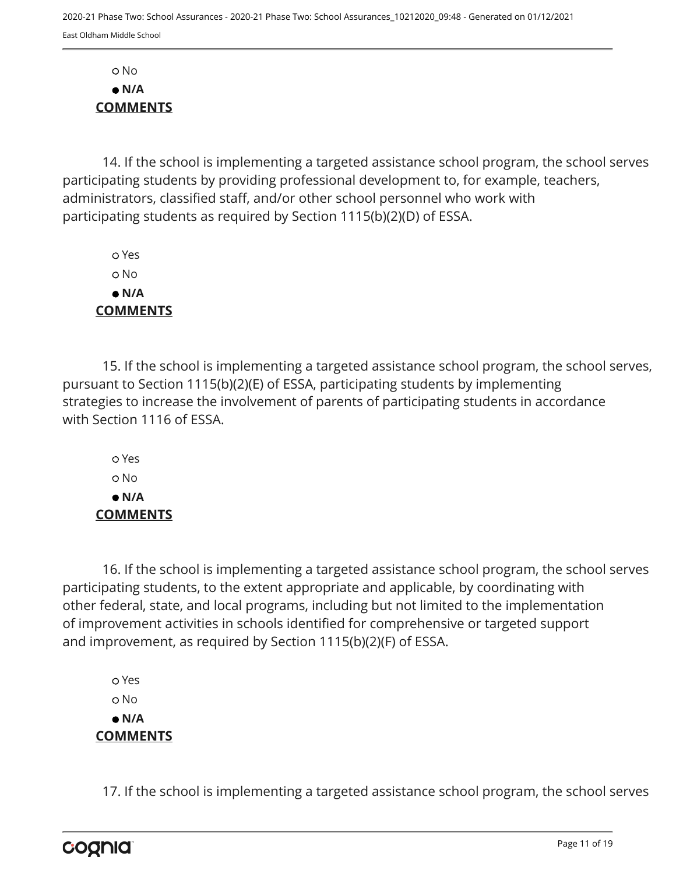No  **N/A COMMENTS**

14. If the school is implementing a targeted assistance school program, the school serves participating students by providing professional development to, for example, teachers, administrators, classified staff, and/or other school personnel who work with participating students as required by Section 1115(b)(2)(D) of ESSA.

 Yes o No  **N/A COMMENTS**

15. If the school is implementing a targeted assistance school program, the school serves, pursuant to Section 1115(b)(2)(E) of ESSA, participating students by implementing strategies to increase the involvement of parents of participating students in accordance with Section 1116 of ESSA.

 Yes o No  **N/A COMMENTS**

16. If the school is implementing a targeted assistance school program, the school serves participating students, to the extent appropriate and applicable, by coordinating with other federal, state, and local programs, including but not limited to the implementation of improvement activities in schools identified for comprehensive or targeted support and improvement, as required by Section 1115(b)(2)(F) of ESSA.

 Yes o No  **N/A COMMENTS**

17. If the school is implementing a targeted assistance school program, the school serves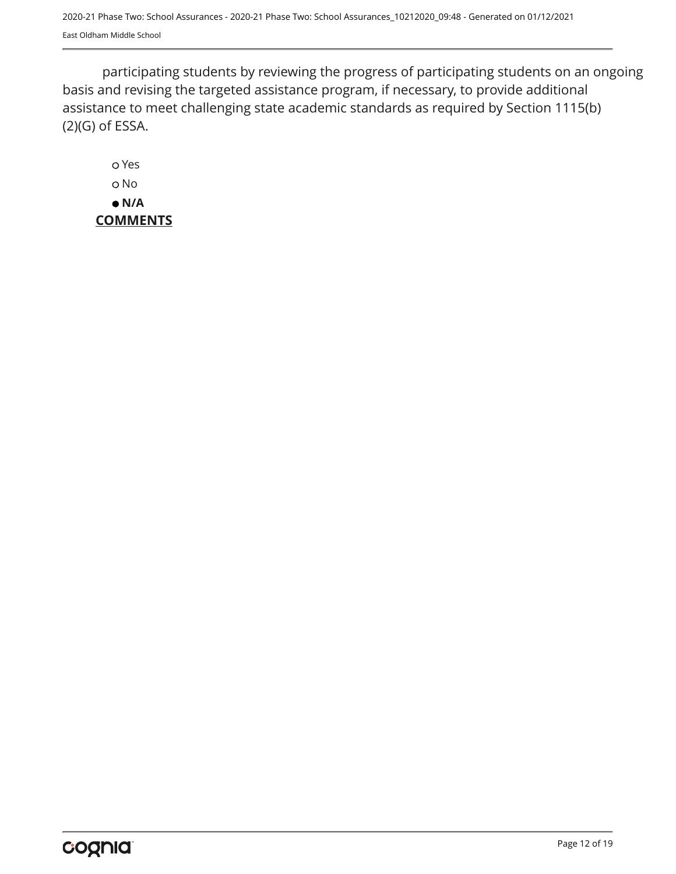participating students by reviewing the progress of participating students on an ongoing basis and revising the targeted assistance program, if necessary, to provide additional assistance to meet challenging state academic standards as required by Section 1115(b) (2)(G) of ESSA.

 Yes o No  **N/A COMMENTS**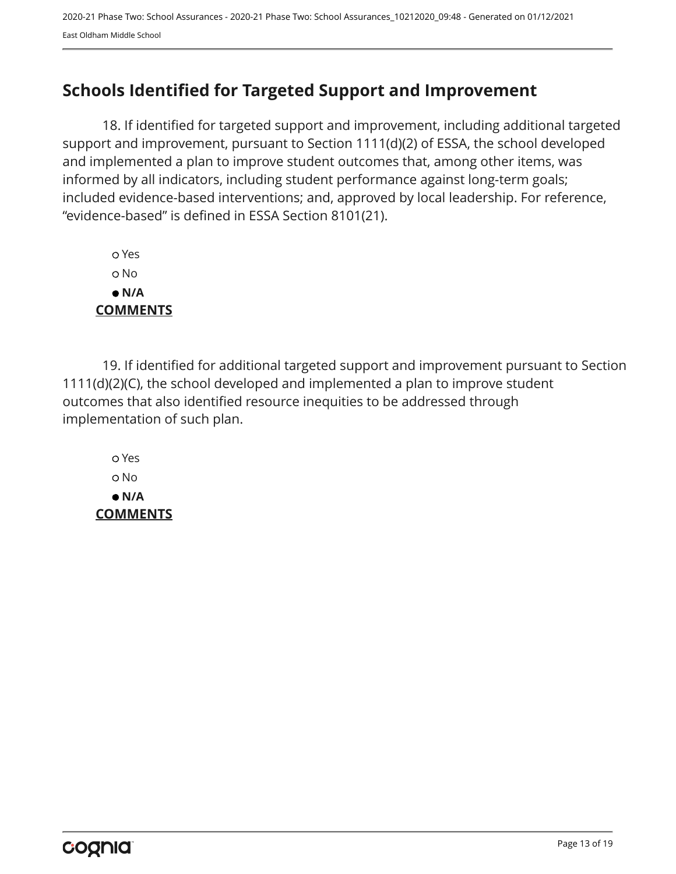# <span id="page-12-0"></span>**Schools Identified for Targeted Support and Improvement**

18. If identified for targeted support and improvement, including additional targeted support and improvement, pursuant to Section 1111(d)(2) of ESSA, the school developed and implemented a plan to improve student outcomes that, among other items, was informed by all indicators, including student performance against long-term goals; included evidence-based interventions; and, approved by local leadership. For reference, "evidence-based" is defined in ESSA Section 8101(21).

 Yes No  **N/A COMMENTS**

19. If identified for additional targeted support and improvement pursuant to Section 1111(d)(2)(C), the school developed and implemented a plan to improve student outcomes that also identified resource inequities to be addressed through implementation of such plan.

 Yes No  **N/A COMMENTS**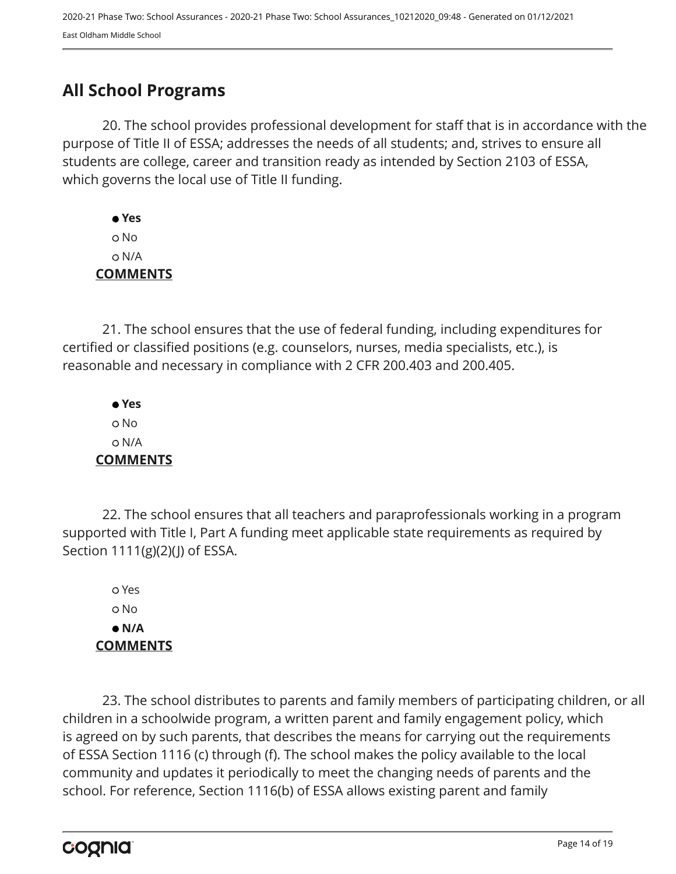# <span id="page-13-0"></span>**All School Programs**

20. The school provides professional development for staff that is in accordance with the purpose of Title II of ESSA; addresses the needs of all students; and, strives to ensure all students are college, career and transition ready as intended by Section 2103 of ESSA, which governs the local use of Title II funding.

 **Yes** No N/A **COMMENTS**

21. The school ensures that the use of federal funding, including expenditures for certified or classified positions (e.g. counselors, nurses, media specialists, etc.), is reasonable and necessary in compliance with 2 CFR 200.403 and 200.405.

 **Yes** No N/A **COMMENTS**

22. The school ensures that all teachers and paraprofessionals working in a program supported with Title I, Part A funding meet applicable state requirements as required by Section 1111(g)(2)(J) of ESSA.

 Yes No  **N/A COMMENTS**

23. The school distributes to parents and family members of participating children, or all children in a schoolwide program, a written parent and family engagement policy, which is agreed on by such parents, that describes the means for carrying out the requirements of ESSA Section 1116 (c) through (f). The school makes the policy available to the local community and updates it periodically to meet the changing needs of parents and the school. For reference, Section 1116(b) of ESSA allows existing parent and family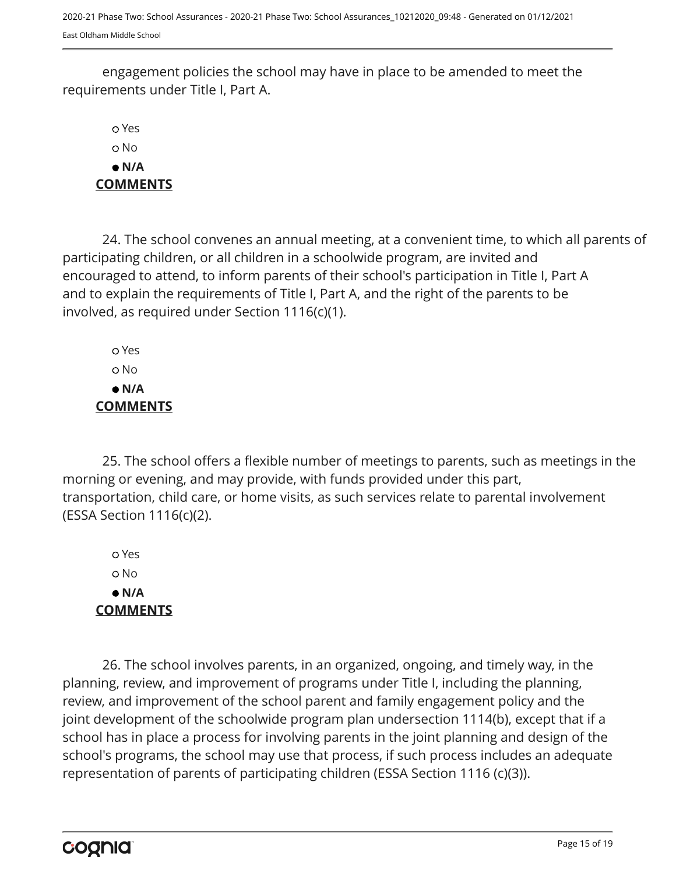engagement policies the school may have in place to be amended to meet the requirements under Title I, Part A.

 Yes No  **N/A COMMENTS**

24. The school convenes an annual meeting, at a convenient time, to which all parents of participating children, or all children in a schoolwide program, are invited and encouraged to attend, to inform parents of their school's participation in Title I, Part A and to explain the requirements of Title I, Part A, and the right of the parents to be involved, as required under Section 1116(c)(1).

 Yes No  **N/A COMMENTS**

25. The school offers a flexible number of meetings to parents, such as meetings in the morning or evening, and may provide, with funds provided under this part, transportation, child care, or home visits, as such services relate to parental involvement (ESSA Section 1116(c)(2).

 Yes No  **N/A COMMENTS**

26. The school involves parents, in an organized, ongoing, and timely way, in the planning, review, and improvement of programs under Title I, including the planning, review, and improvement of the school parent and family engagement policy and the joint development of the schoolwide program plan undersection 1114(b), except that if a school has in place a process for involving parents in the joint planning and design of the school's programs, the school may use that process, if such process includes an adequate representation of parents of participating children (ESSA Section 1116 (c)(3)).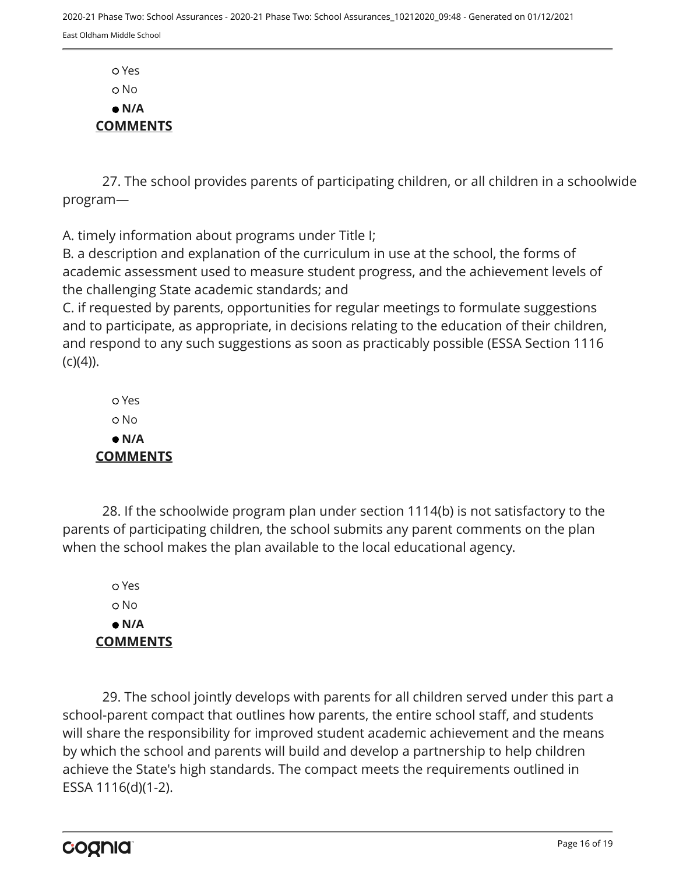Yes o No  **N/A COMMENTS**

27. The school provides parents of participating children, or all children in a schoolwide program—

A. timely information about programs under Title I;

B. a description and explanation of the curriculum in use at the school, the forms of academic assessment used to measure student progress, and the achievement levels of the challenging State academic standards; and

C. if requested by parents, opportunities for regular meetings to formulate suggestions and to participate, as appropriate, in decisions relating to the education of their children, and respond to any such suggestions as soon as practicably possible (ESSA Section 1116  $(C)(4)$ ).

 Yes No  **N/A COMMENTS**

28. If the schoolwide program plan under section 1114(b) is not satisfactory to the parents of participating children, the school submits any parent comments on the plan when the school makes the plan available to the local educational agency.

 Yes o No  **N/A COMMENTS**

29. The school jointly develops with parents for all children served under this part a school-parent compact that outlines how parents, the entire school staff, and students will share the responsibility for improved student academic achievement and the means by which the school and parents will build and develop a partnership to help children achieve the State's high standards. The compact meets the requirements outlined in ESSA 1116(d)(1-2).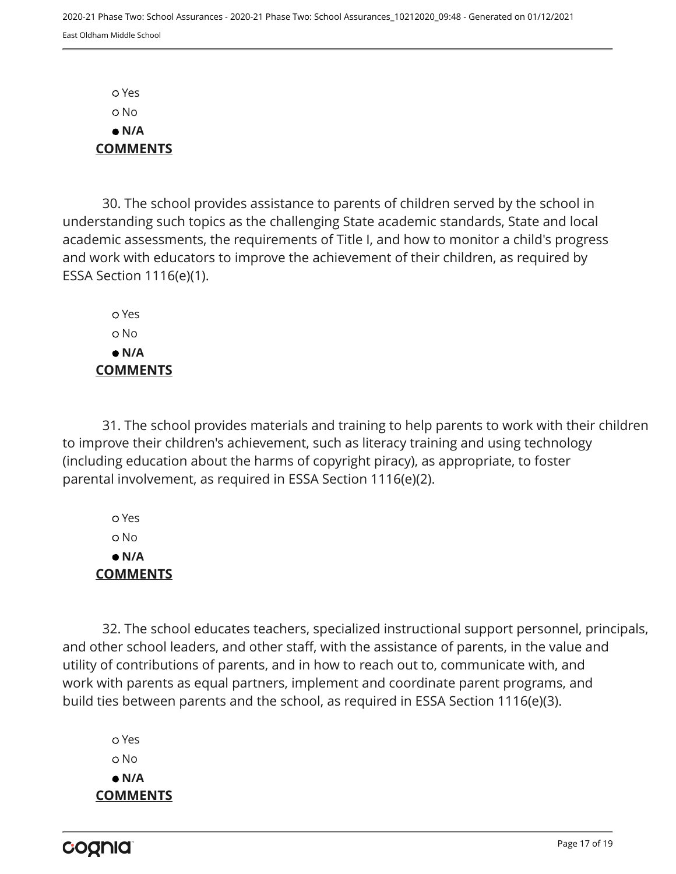Yes No  **N/A COMMENTS**

30. The school provides assistance to parents of children served by the school in understanding such topics as the challenging State academic standards, State and local academic assessments, the requirements of Title I, and how to monitor a child's progress and work with educators to improve the achievement of their children, as required by ESSA Section 1116(e)(1).

 Yes o No  **N/A COMMENTS**

31. The school provides materials and training to help parents to work with their children to improve their children's achievement, such as literacy training and using technology (including education about the harms of copyright piracy), as appropriate, to foster parental involvement, as required in ESSA Section 1116(e)(2).

 Yes No  **N/A COMMENTS**

32. The school educates teachers, specialized instructional support personnel, principals, and other school leaders, and other staff, with the assistance of parents, in the value and utility of contributions of parents, and in how to reach out to, communicate with, and work with parents as equal partners, implement and coordinate parent programs, and build ties between parents and the school, as required in ESSA Section 1116(e)(3).

 Yes o No  **N/A COMMENTS**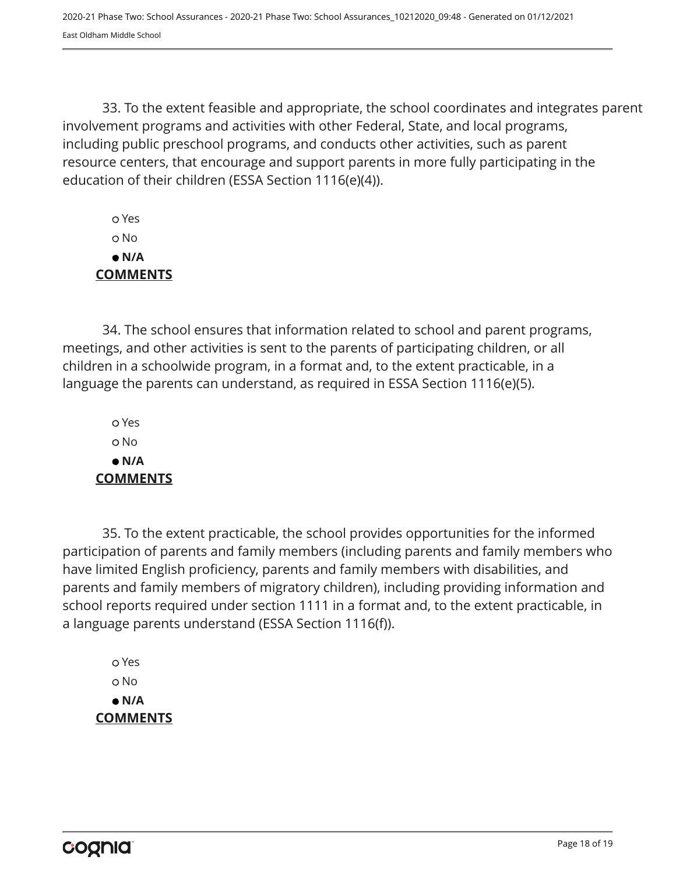33. To the extent feasible and appropriate, the school coordinates and integrates parent involvement programs and activities with other Federal, State, and local programs, including public preschool programs, and conducts other activities, such as parent resource centers, that encourage and support parents in more fully participating in the education of their children (ESSA Section 1116(e)(4)).

 Yes No  **N/A COMMENTS**

34. The school ensures that information related to school and parent programs, meetings, and other activities is sent to the parents of participating children, or all children in a schoolwide program, in a format and, to the extent practicable, in a language the parents can understand, as required in ESSA Section 1116(e)(5).

 Yes o No  **N/A COMMENTS**

35. To the extent practicable, the school provides opportunities for the informed participation of parents and family members (including parents and family members who have limited English proficiency, parents and family members with disabilities, and parents and family members of migratory children), including providing information and school reports required under section 1111 in a format and, to the extent practicable, in a language parents understand (ESSA Section 1116(f)).

 Yes No  **N/A COMMENTS**